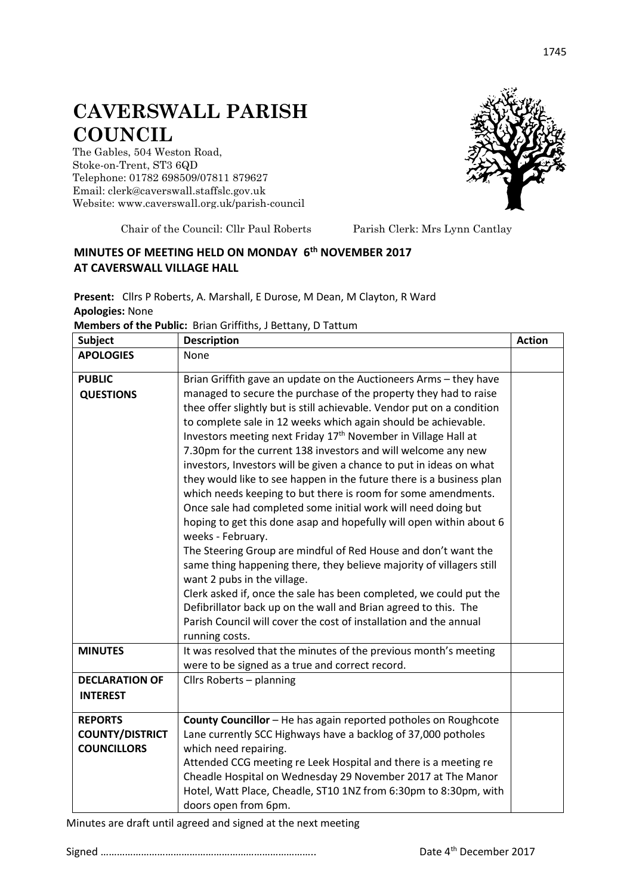## **CAVERSWALL PARISH COUNCIL**

The Gables, 504 Weston Road, Stoke-on-Trent, ST3 6QD Telephone: 01782 698509/07811 879627 Email: clerk@caverswall.staffslc.gov.uk Website: [www.c](http://www.dilhorneparishcouncil.co.uk/)averswall.org.uk/parish-council



Chair of the Council: Cllr Paul Roberts Parish Clerk: Mrs Lynn Cantlay

## **MINUTES OF MEETING HELD ON MONDAY 6 th NOVEMBER 2017 AT CAVERSWALL VILLAGE HALL**

**Present:** Cllrs P Roberts, A. Marshall, E Durose, M Dean, M Clayton, R Ward **Apologies:** None

**Members of the Public:** Brian Griffiths, J Bettany, D Tattum

| <b>Subject</b>                           | <b>Description</b>                                                                                                                                                                                                                                                                                                                                                                                                                                                                                                                                                                                                                                                                                                                                                                                                                                                                                                                                                                                                                                                                                                  |  |
|------------------------------------------|---------------------------------------------------------------------------------------------------------------------------------------------------------------------------------------------------------------------------------------------------------------------------------------------------------------------------------------------------------------------------------------------------------------------------------------------------------------------------------------------------------------------------------------------------------------------------------------------------------------------------------------------------------------------------------------------------------------------------------------------------------------------------------------------------------------------------------------------------------------------------------------------------------------------------------------------------------------------------------------------------------------------------------------------------------------------------------------------------------------------|--|
| <b>APOLOGIES</b>                         | None                                                                                                                                                                                                                                                                                                                                                                                                                                                                                                                                                                                                                                                                                                                                                                                                                                                                                                                                                                                                                                                                                                                |  |
| <b>PUBLIC</b>                            | Brian Griffith gave an update on the Auctioneers Arms - they have                                                                                                                                                                                                                                                                                                                                                                                                                                                                                                                                                                                                                                                                                                                                                                                                                                                                                                                                                                                                                                                   |  |
| <b>QUESTIONS</b>                         | managed to secure the purchase of the property they had to raise<br>thee offer slightly but is still achievable. Vendor put on a condition<br>to complete sale in 12 weeks which again should be achievable.<br>Investors meeting next Friday 17th November in Village Hall at<br>7.30pm for the current 138 investors and will welcome any new<br>investors, Investors will be given a chance to put in ideas on what<br>they would like to see happen in the future there is a business plan<br>which needs keeping to but there is room for some amendments.<br>Once sale had completed some initial work will need doing but<br>hoping to get this done asap and hopefully will open within about 6<br>weeks - February.<br>The Steering Group are mindful of Red House and don't want the<br>same thing happening there, they believe majority of villagers still<br>want 2 pubs in the village.<br>Clerk asked if, once the sale has been completed, we could put the<br>Defibrillator back up on the wall and Brian agreed to this. The<br>Parish Council will cover the cost of installation and the annual |  |
| <b>MINUTES</b>                           | running costs.<br>It was resolved that the minutes of the previous month's meeting                                                                                                                                                                                                                                                                                                                                                                                                                                                                                                                                                                                                                                                                                                                                                                                                                                                                                                                                                                                                                                  |  |
|                                          | were to be signed as a true and correct record.                                                                                                                                                                                                                                                                                                                                                                                                                                                                                                                                                                                                                                                                                                                                                                                                                                                                                                                                                                                                                                                                     |  |
| <b>DECLARATION OF</b><br><b>INTEREST</b> | Cllrs Roberts - planning                                                                                                                                                                                                                                                                                                                                                                                                                                                                                                                                                                                                                                                                                                                                                                                                                                                                                                                                                                                                                                                                                            |  |
| <b>REPORTS</b>                           | County Councillor - He has again reported potholes on Roughcote                                                                                                                                                                                                                                                                                                                                                                                                                                                                                                                                                                                                                                                                                                                                                                                                                                                                                                                                                                                                                                                     |  |
| <b>COUNTY/DISTRICT</b>                   | Lane currently SCC Highways have a backlog of 37,000 potholes                                                                                                                                                                                                                                                                                                                                                                                                                                                                                                                                                                                                                                                                                                                                                                                                                                                                                                                                                                                                                                                       |  |
| <b>COUNCILLORS</b>                       | which need repairing.<br>Attended CCG meeting re Leek Hospital and there is a meeting re<br>Cheadle Hospital on Wednesday 29 November 2017 at The Manor<br>Hotel, Watt Place, Cheadle, ST10 1NZ from 6:30pm to 8:30pm, with<br>doors open from 6pm.                                                                                                                                                                                                                                                                                                                                                                                                                                                                                                                                                                                                                                                                                                                                                                                                                                                                 |  |

Minutes are draft until agreed and signed at the next meeting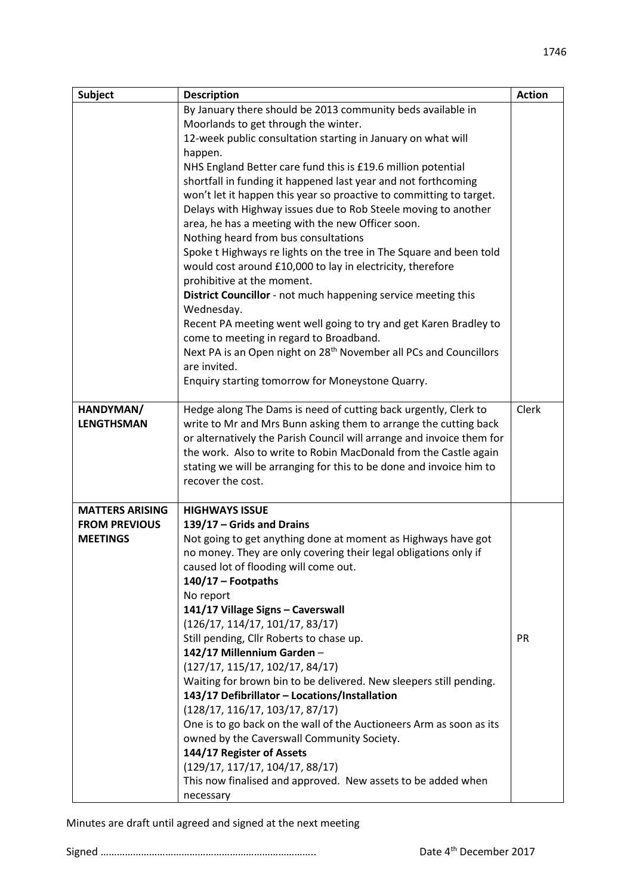| <b>Subject</b>         | <b>Description</b>                                                                                                  | <b>Action</b> |  |
|------------------------|---------------------------------------------------------------------------------------------------------------------|---------------|--|
|                        | By January there should be 2013 community beds available in                                                         |               |  |
|                        | Moorlands to get through the winter.                                                                                |               |  |
|                        | 12-week public consultation starting in January on what will                                                        |               |  |
|                        | happen.                                                                                                             |               |  |
|                        | NHS England Better care fund this is £19.6 million potential                                                        |               |  |
|                        | shortfall in funding it happened last year and not forthcoming                                                      |               |  |
|                        | won't let it happen this year so proactive to committing to target.                                                 |               |  |
|                        | Delays with Highway issues due to Rob Steele moving to another<br>area, he has a meeting with the new Officer soon. |               |  |
|                        |                                                                                                                     |               |  |
|                        | Nothing heard from bus consultations                                                                                |               |  |
|                        | Spoke t Highways re lights on the tree in The Square and been told                                                  |               |  |
|                        | would cost around £10,000 to lay in electricity, therefore                                                          |               |  |
|                        | prohibitive at the moment.                                                                                          |               |  |
|                        | District Councillor - not much happening service meeting this                                                       |               |  |
|                        | Wednesday.                                                                                                          |               |  |
|                        | Recent PA meeting went well going to try and get Karen Bradley to                                                   |               |  |
|                        | come to meeting in regard to Broadband.                                                                             |               |  |
|                        | Next PA is an Open night on 28 <sup>th</sup> November all PCs and Councillors                                       |               |  |
|                        | are invited.                                                                                                        |               |  |
|                        | Enquiry starting tomorrow for Moneystone Quarry.                                                                    |               |  |
| HANDYMAN/              | Hedge along The Dams is need of cutting back urgently, Clerk to                                                     | Clerk         |  |
| <b>LENGTHSMAN</b>      | write to Mr and Mrs Bunn asking them to arrange the cutting back                                                    |               |  |
|                        | or alternatively the Parish Council will arrange and invoice them for                                               |               |  |
|                        | the work. Also to write to Robin MacDonald from the Castle again                                                    |               |  |
|                        | stating we will be arranging for this to be done and invoice him to                                                 |               |  |
|                        | recover the cost.                                                                                                   |               |  |
| <b>MATTERS ARISING</b> | <b>HIGHWAYS ISSUE</b>                                                                                               |               |  |
| <b>FROM PREVIOUS</b>   | 139/17 - Grids and Drains                                                                                           |               |  |
| <b>MEETINGS</b>        | Not going to get anything done at moment as Highways have got                                                       |               |  |
|                        | no money. They are only covering their legal obligations only if                                                    |               |  |
|                        | caused lot of flooding will come out.                                                                               |               |  |
|                        | $140/17 -$ Footpaths                                                                                                |               |  |
|                        | No report                                                                                                           |               |  |
|                        | 141/17 Village Signs - Caverswall                                                                                   |               |  |
|                        | (126/17, 114/17, 101/17, 83/17)                                                                                     |               |  |
|                        | Still pending, Cllr Roberts to chase up.                                                                            | <b>PR</b>     |  |
|                        | 142/17 Millennium Garden-                                                                                           |               |  |
|                        | (127/17, 115/17, 102/17, 84/17)                                                                                     |               |  |
|                        | Waiting for brown bin to be delivered. New sleepers still pending.                                                  |               |  |
|                        | 143/17 Defibrillator - Locations/Installation                                                                       |               |  |
|                        | (128/17, 116/17, 103/17, 87/17)                                                                                     |               |  |
|                        | One is to go back on the wall of the Auctioneers Arm as soon as its                                                 |               |  |
|                        | owned by the Caverswall Community Society.                                                                          |               |  |
|                        | 144/17 Register of Assets                                                                                           |               |  |
|                        | (129/17, 117/17, 104/17, 88/17)                                                                                     |               |  |
|                        | This now finalised and approved. New assets to be added when                                                        |               |  |
|                        | necessary                                                                                                           |               |  |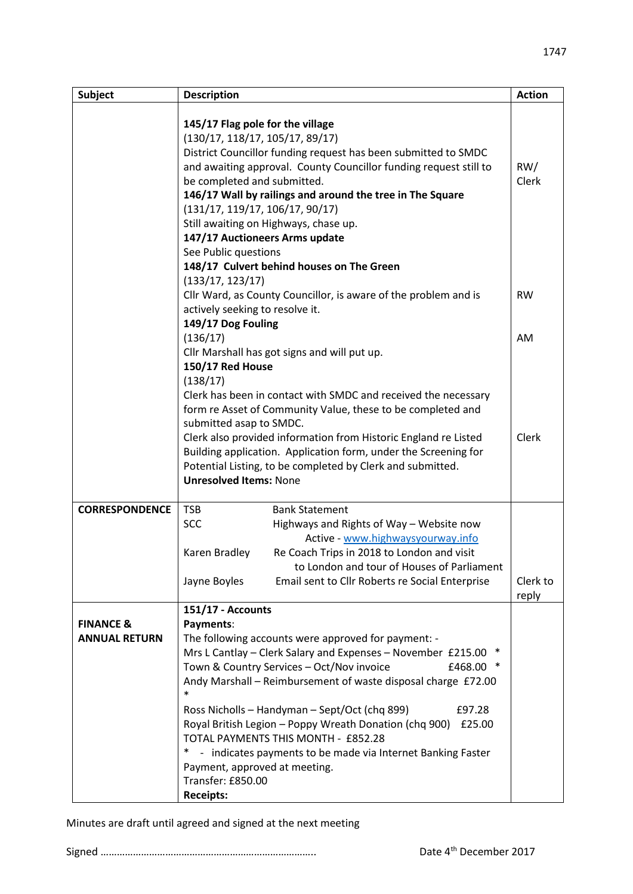| <b>Subject</b>                               | <b>Description</b>                                                                                                                                                                                                                                                                                                                                                                                                                                                                                                                                                                                                                        |                                                                                                                                                                                                                                                       | <b>Action</b> |  |
|----------------------------------------------|-------------------------------------------------------------------------------------------------------------------------------------------------------------------------------------------------------------------------------------------------------------------------------------------------------------------------------------------------------------------------------------------------------------------------------------------------------------------------------------------------------------------------------------------------------------------------------------------------------------------------------------------|-------------------------------------------------------------------------------------------------------------------------------------------------------------------------------------------------------------------------------------------------------|---------------|--|
|                                              | 145/17 Flag pole for the village<br>(130/17, 118/17, 105/17, 89/17)<br>District Councillor funding request has been submitted to SMDC<br>and awaiting approval. County Councillor funding request still to<br>be completed and submitted.<br>146/17 Wall by railings and around the tree in The Square<br>(131/17, 119/17, 106/17, 90/17)<br>Still awaiting on Highways, chase up.<br>147/17 Auctioneers Arms update<br>See Public questions<br>148/17 Culvert behind houses on The Green                                                                                                                                                 |                                                                                                                                                                                                                                                       |               |  |
|                                              | (133/17, 123/17)<br>Cllr Ward, as County Councillor, is aware of the problem and is<br>actively seeking to resolve it.<br>149/17 Dog Fouling<br>(136/17)<br>Cllr Marshall has got signs and will put up.<br>150/17 Red House<br>(138/17)<br>Clerk has been in contact with SMDC and received the necessary<br>form re Asset of Community Value, these to be completed and<br>submitted asap to SMDC.<br>Clerk also provided information from Historic England re Listed<br>Building application. Application form, under the Screening for<br>Potential Listing, to be completed by Clerk and submitted.<br><b>Unresolved Items: None</b> |                                                                                                                                                                                                                                                       |               |  |
|                                              |                                                                                                                                                                                                                                                                                                                                                                                                                                                                                                                                                                                                                                           |                                                                                                                                                                                                                                                       |               |  |
|                                              |                                                                                                                                                                                                                                                                                                                                                                                                                                                                                                                                                                                                                                           |                                                                                                                                                                                                                                                       |               |  |
| <b>CORRESPONDENCE</b>                        | <b>TSB</b><br><b>SCC</b><br>Karen Bradley<br>Jayne Boyles                                                                                                                                                                                                                                                                                                                                                                                                                                                                                                                                                                                 | <b>Bank Statement</b><br>Highways and Rights of Way - Website now<br>Active - www.highwaysyourway.info<br>Re Coach Trips in 2018 to London and visit<br>to London and tour of Houses of Parliament<br>Email sent to Cllr Roberts re Social Enterprise | Clerk to      |  |
| <b>FINANCE &amp;</b><br><b>ANNUAL RETURN</b> | 151/17 - Accounts<br>Payments:<br>The following accounts were approved for payment: -<br>Mrs L Cantlay - Clerk Salary and Expenses - November £215.00 *<br>Town & Country Services - Oct/Nov invoice<br>£468.00<br>Andy Marshall - Reimbursement of waste disposal charge £72.00<br>$\ast$<br>Ross Nicholls - Handyman - Sept/Oct (chq 899)<br>£97.28<br>Royal British Legion - Poppy Wreath Donation (chq 900)<br>£25.00<br>TOTAL PAYMENTS THIS MONTH - £852.28<br>$^*$<br>- indicates payments to be made via Internet Banking Faster<br>Payment, approved at meeting.<br>Transfer: £850.00<br><b>Receipts:</b>                         |                                                                                                                                                                                                                                                       | reply         |  |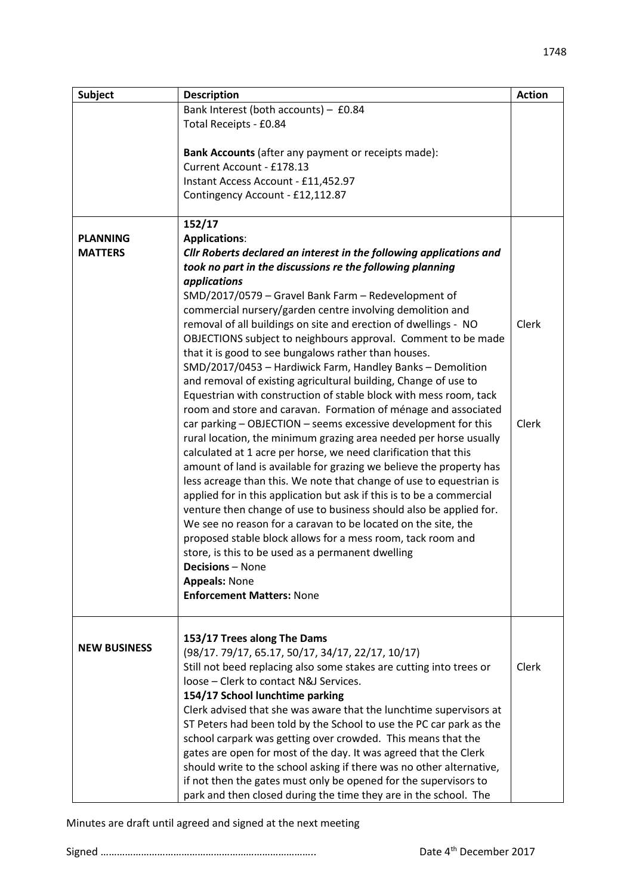| <b>Subject</b>      | <b>Description</b>                                                    | <b>Action</b> |  |
|---------------------|-----------------------------------------------------------------------|---------------|--|
|                     | Bank Interest (both accounts) - £0.84                                 |               |  |
|                     | Total Receipts - £0.84                                                |               |  |
|                     |                                                                       |               |  |
|                     | Bank Accounts (after any payment or receipts made):                   |               |  |
|                     | Current Account - £178.13                                             |               |  |
|                     | Instant Access Account - £11,452.97                                   |               |  |
|                     | Contingency Account - £12,112.87                                      |               |  |
|                     |                                                                       |               |  |
|                     | 152/17                                                                |               |  |
| <b>PLANNING</b>     | <b>Applications:</b>                                                  |               |  |
| <b>MATTERS</b>      | Cllr Roberts declared an interest in the following applications and   |               |  |
|                     | took no part in the discussions re the following planning             |               |  |
|                     | applications<br>SMD/2017/0579 - Gravel Bank Farm - Redevelopment of   |               |  |
|                     | commercial nursery/garden centre involving demolition and             |               |  |
|                     | removal of all buildings on site and erection of dwellings - NO       | Clerk         |  |
|                     | OBJECTIONS subject to neighbours approval. Comment to be made         |               |  |
|                     | that it is good to see bungalows rather than houses.                  |               |  |
|                     | SMD/2017/0453 - Hardiwick Farm, Handley Banks - Demolition            |               |  |
|                     | and removal of existing agricultural building, Change of use to       |               |  |
|                     | Equestrian with construction of stable block with mess room, tack     |               |  |
|                     | room and store and caravan. Formation of ménage and associated        |               |  |
|                     | car parking - OBJECTION - seems excessive development for this        | Clerk         |  |
|                     | rural location, the minimum grazing area needed per horse usually     |               |  |
|                     | calculated at 1 acre per horse, we need clarification that this       |               |  |
|                     | amount of land is available for grazing we believe the property has   |               |  |
|                     | less acreage than this. We note that change of use to equestrian is   |               |  |
|                     | applied for in this application but ask if this is to be a commercial |               |  |
|                     | venture then change of use to business should also be applied for.    |               |  |
|                     | We see no reason for a caravan to be located on the site, the         |               |  |
|                     | proposed stable block allows for a mess room, tack room and           |               |  |
|                     | store, is this to be used as a permanent dwelling                     |               |  |
|                     | <b>Decisions</b> – None                                               |               |  |
|                     | <b>Appeals: None</b>                                                  |               |  |
|                     | <b>Enforcement Matters: None</b>                                      |               |  |
|                     |                                                                       |               |  |
|                     |                                                                       |               |  |
| <b>NEW BUSINESS</b> | 153/17 Trees along The Dams                                           |               |  |
|                     | (98/17.79/17,65.17,50/17,34/17,22/17,10/17)                           |               |  |
|                     | Still not beed replacing also some stakes are cutting into trees or   | Clerk         |  |
|                     | loose - Clerk to contact N&J Services.                                |               |  |
|                     | 154/17 School lunchtime parking                                       |               |  |
|                     | Clerk advised that she was aware that the lunchtime supervisors at    |               |  |
|                     | ST Peters had been told by the School to use the PC car park as the   |               |  |
|                     | school carpark was getting over crowded. This means that the          |               |  |
|                     | gates are open for most of the day. It was agreed that the Clerk      |               |  |
|                     | should write to the school asking if there was no other alternative,  |               |  |
|                     | if not then the gates must only be opened for the supervisors to      |               |  |
|                     | park and then closed during the time they are in the school. The      |               |  |